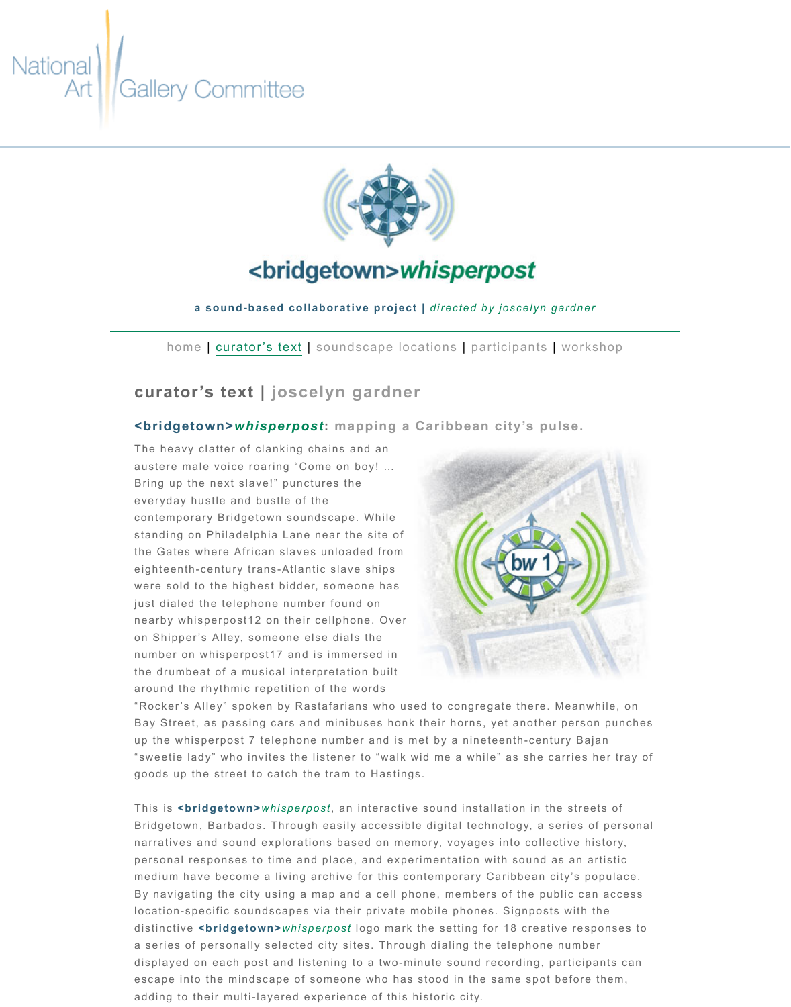## **curator's text | joscelyn gardner**

## **<bridgetown>***whisperpost***: mapping a Caribbean city's pulse.**

The heavy clatter of clanking chains and an austere male voice roaring "Come on boy! … Bring up the next slave!" punctures the everyday hustle and bustle of the contemporary Bridgetown soundscape. While standing on Philadelphia Lane near the site of the Gates where African slaves unloaded from eighteenth-century trans-Atlantic slave ships were sold to the highest bidder, someone has just dialed the telephone number found on nearby whisperpost12 on their cellphone. Over on Shipper's Alley, someone else dials the number on whisperpost17 and is immersed in the drumbeat of a musical interpretation built around the rhythmic repetition of the words



"Rock[er's A](file:///Volumes/bridgetown_whisperpost/website-files/index.html)lle[y" spoken by R](file:///Volumes/bridgetown_whisperpost/website-files/html/curators-text.html)a[stafarians who used to co](file:///Volumes/bridgetown_whisperpost/website-files/html/soundscape-locations.html)ngregation Bay Street, as passing cars and minibuses honk their horns, yet up the whisperpost 7 telephone number and is met by a ninete "sweetie lady" who invites the listener to "walk wid me a while" goods up the street to catch the tram to Hastings.

This is **<bridgetown>***whisperpost*, an interactive sound install Bridgetown, Barbados. Through easily accessible digital techn narratives and sound explorations based on memory, voyages personal responses to time and place, and experimentation with medium have become a living archive for this contemporary Ca By navigating the city using a map and a cell phone, members location-specific soundscapes via their private mobile phones. distinctive **<bridgetown>***whisperpost* logo mark the setting for a series of personally selected city sites. Through dialing the t displayed on each post and listening to a two-minute sound re escape into the mindscape of someone who has stood in the s adding to their multi-layered experience of this historic city.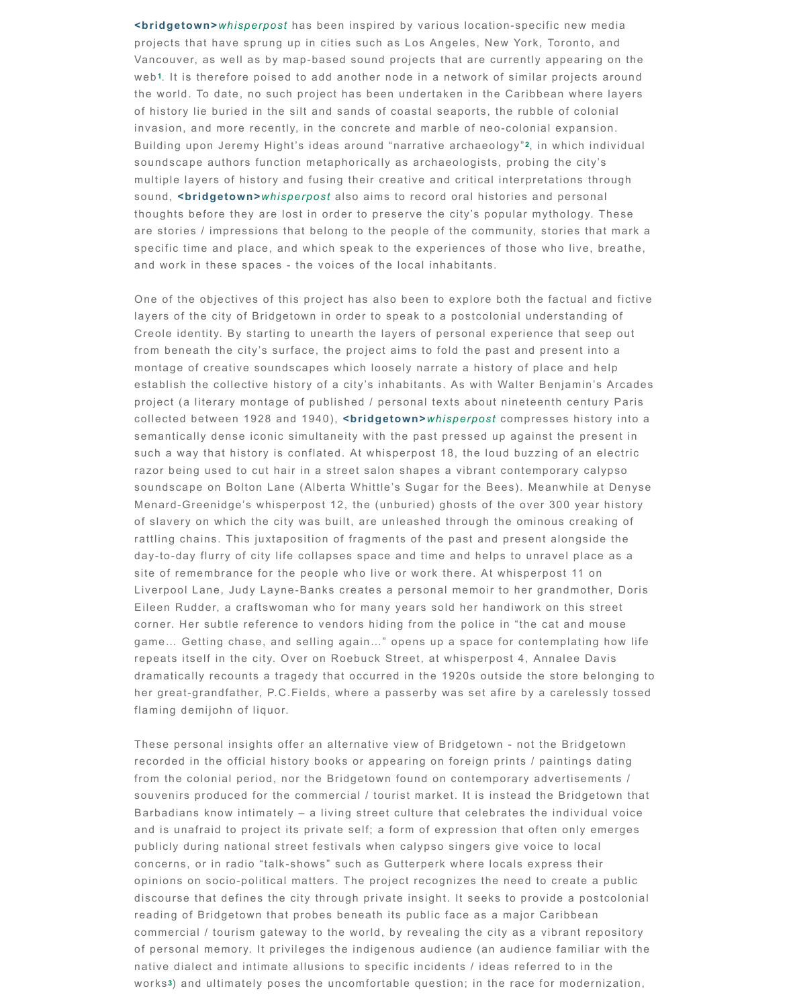montage of creative soundscapes which loosely narrate a history establish the collective history of a city's inhabitants. As with project (a literary montage of published / personal texts about collected between 1928 and 1940), **<bridgetown>***whisperpost* sem[a](file:///Volumes/bridgetown_whisperpost/website-files/html/curators-text.html#footnote-list-1)ntically dense iconic simultaneity with the past pressed u such a way that history is conflated. At whisperpost 18, the loud razor being used to cut hair in a street salon shapes a vibrant soundscape on Bolton Lane (Alberta Whittle's Sugar for the Be Menard-Greenidge's whisperpost 12, the (unburied) ghosts of of slavery on which the city was built, are unleashed through to rattling chains. This juxtaposition of fragments of the past and day-to-day flurry of city life collapses space and time and help site of remembrance for the people who live or work there. At Liverpool Lane, Judy Layne-Banks creates a personal memoir Eileen Rudder, a craftswoman who for many years sold her hand corner. Her subtle reference to vendors hiding from the police game... Getting chase, and selling again..." opens up a space repeats itself in the city. Over on Roebuck Street, at whisperpo dramatically recounts a tragedy that occurred in the 1920s out her great-grandfather, P.C.Fields, where a passerby was set a flaming demijohn of liquor.

These personal insights offer an alternative view of Bridgetown recorded in the official history books or appearing on foreign prints of from the colonial period, nor the Bridgetown found on contemp souvenirs produced for the commercial / tourist market. It is in Barbadians know intimately  $-$  a living street culture that celebrates and is unafraid to project its private self; a form of expression publicly during national street festivals when calypso singers g concerns, or in radio "talk-shows" such as Gutterperk where lo opinions on socio-political matters. The project recognizes the discourse that defines the city through private insight. It seeks reading of Bridgetown that probes beneath its public face as a commercial / tourism gateway to the world, by revealing the cit of personal memory. It privileges the indigenous audience (an native dialect and intimate allusions to specific incidents / idea works<sup>3</sup>) and ultimately poses the uncomfortable question; in the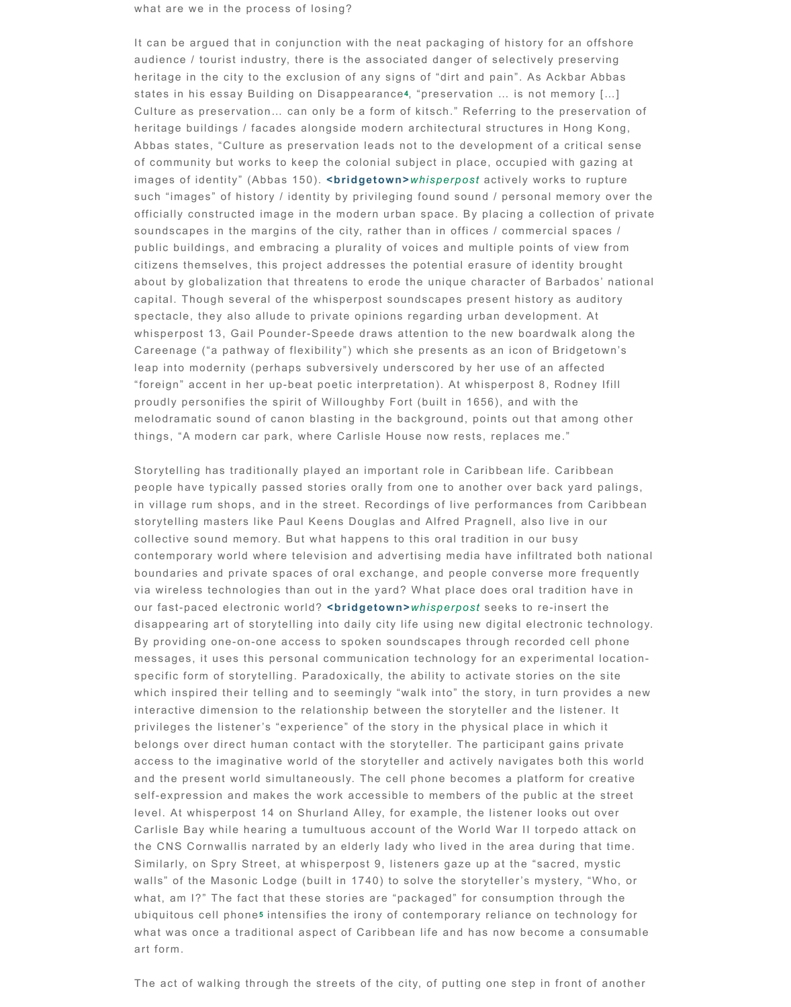leap into modernity (perhaps subversively underscored by her "foreign" accent in her up-beat poetic interpretation). At whisp proudly personifies the spirit of Willoughby Fort (built in 1656) melodramatic sound of canon blasting in the background, point things, "A modern car park, where Carlisle House now rests, re

Storytelling has traditionally played an important role in Caribb people have typically passed stories orally from one to anothe in village rum shops, and in the street. Recordings of live perf storytelling masters like Paul Keens Douglas and Alfred Pragn collective sound memory. But what happens to this oral tradition contemporary world where television and advertising media ha boundaries and private spaces of oral exchange, and people c via wireless technologies than out in the yard? What place doe our fast-paced electronic world? **<br />
<b>comploint** the value of set see disappearing art of storytelling into daily city life using new digital electronic technology. By providing one-on-one access to spoken soundscapes through messages, it uses this personal communication technology for specific form of storytelling. Paradoxically, the ability to activa which inspired their telling and to seemingly "walk into" the sto interactive dimension to the relationship between the storyteller privileges the listener's "experience" of the story in the physic belongs over direct human contact with the storyteller. The pai access to the imaginative world of the storyteller and actively and the present world simultaneously. The cell phone becomes self-expression and makes the work accessible to members of level. At whisperpost 14 on Shurland Alley, for example, the list Carlisle Bay while hearing a tumultuous account of the World \ the CNS Cornwallis narrated by an elderly lady who lived in the Similarly, on Spry Street, at whisperpost 9, listeners gaze up at walls" of the Masonic Lodge (built in 1740) to solve the storyte what, am I?" The fact that these stories are "packaged" for cor ubiquitous cell phone<sup>5</sup> intensifies the irony of contemporary rel what was once a traditional aspect of Caribbean life and has now art form.

The act of walking through the streets of the city, of putting on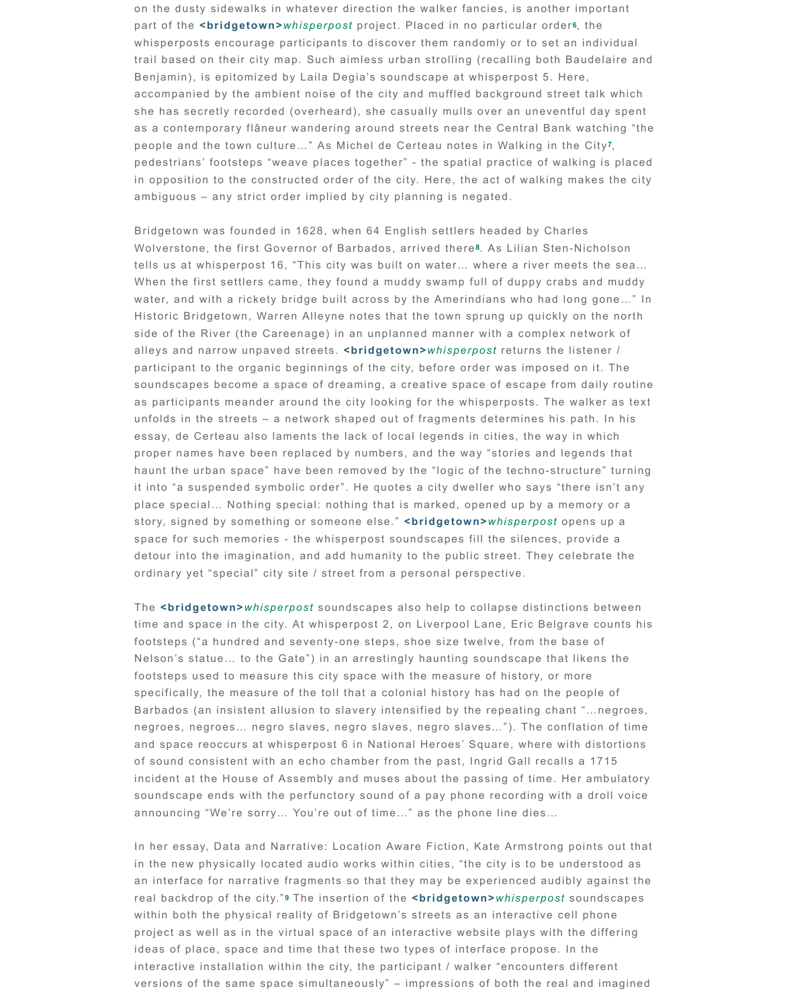participant to the organic beginnings of the city, before order  $v$ soundscapes beco[m](file:///Volumes/bridgetown_whisperpost/website-files/html/curators-text.html#footnote-list-6)e a space of dreaming, a creative space of as participants meander around the city looking for the whispe unfolds in the streets  $-$  a network shaped out of fragments det essay, de Certeau also laments the lack of local legends in cit proper names have been replaced by numbers, and the way "stories and that haunt the urban space" have been removed by the "logic of the it into "a suspended symbolic order". He quotes a city dweller place special... N[o](file:///Volumes/bridgetown_whisperpost/website-files/html/curators-text.html#footnote-list-7)thing special: nothing that is marked, opene story, signed by something or someone else." <br /> **bridgetown>** $w_1$ space for such memories - the whisperpost soundscapes fill the detour into the imagination, and add humanity to the public str ordinary yet "special" city site / street from a personal perspect

The **<bridget[o](file:///Volumes/bridgetown_whisperpost/website-files/html/curators-text.html#footnote-list-8)wn>***whisperpost* soundscapes also help to colla time and space in the city. At whisperpost 2, on Liverpool Lane footsteps ("a hundred and seventy-one steps, shoe size twelve Nelson's statue... to the Gate") in an arrestingly haunting sour footsteps used to measure this city space with the measure of specifically, the measure of the toll that a colonial history has Barbados (an insistent allusion to slavery intensified by the repeation negroes, negroes... negro slaves, negro slaves, negro slaves.. and space reoccurs at whisperpost 6 in National Heroes' Squa of sound consistent with an echo chamber from the past, Ingrid incident at the House of Assembly and muses about the passir soundscape ends with the perfunctory sound of a pay phone re announcing "We're sorry... You're out of time..." as the phone I

In her essay, Data and Narrative: Location Aware Fiction, Kate in the new physically located audio works within cities, "the cit an interface for narrative fragments so that they may be expered and all the  $\alpha$ real backdrop of the city." **The insertion of the <br idgetown>** within both the physical reality of Bridgetown's streets as an in project as well as in the virtual space of an interactive website ideas of place, space and time that these two types of interfac interactive installation within the city, the participant / walker ' versions of the same space simultaneously"  $-$  impressions of  $b$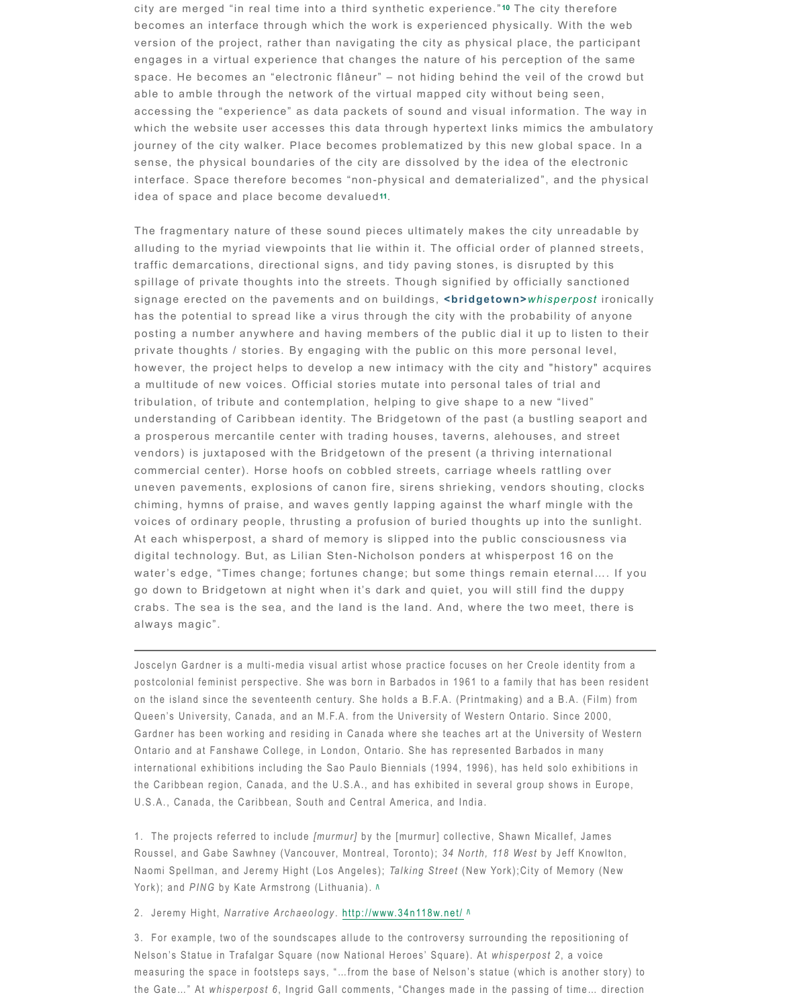however, the project helps to develop a new intimacy with the a multitude of new voices. Official stories mutate into personal tribulation, of tribute and contemplation, helping to give shape understanding of Caribbean identity. The Bridgetown of the pa a prosperous mercantile center with trading houses, taverns, and street and street and street and street and s vendors) is juxtaposed with the Bridgetown of the present (a th commercial center). Horse hoofs on cobbled streets, carriage v uneven pavements, explosions of canon fire, sirens shrieking, chiming, hymns of praise, and waves gently lapping against the voices of ordinary people, thrusting a profusion of buried thoughts At each whisperpost, a shard of memory is slipped into the pul digital technology. But, as Lilian Sten-Nic[ho](file:///Volumes/bridgetown_whisperpost/website-files/html/curators-text.html#footnote-list-11)lson ponders at wh water's edge, "Times change; fortunes change; but some thing go down to Bridgetown at night when it's dark and quiet, you w crabs. The sea is the sea, and the land is the land. And, where always magic".

Joscelyn Gardner is a multi-media visual artist whose practice focuses o postcolonial feminist perspective. She was born in Barbados in 1961 to a on the island since the seventeenth century. She holds a B.F.A. (Printma Queen's University, Canada, and an M.F.A. from the University of Western Ontario. Since 2000, Supersity 2000, Gardner has been working and residing in Canada where she teaches art Ontario and at Fanshawe College, in London, Ontario. She has represent international exhibitions including the Sao Paulo Biennials (1994, 1996), the Caribbean region, Canada, and the U.S.A., and has exhibited in several group shows in Europe, and  $\overline{E}$ U.S.A., Canada, the Caribbean, South and Central America, and India.

1. The projects referred to include *[murmur]* by the [murmur] collective, Roussel, and Gabe Sawhney (Vancouver, Montreal, Toronto); 34 North, 1 Naomi Spellman, and Jeremy Hight (Los Angeles); *Talking Street* (New Your York); and *PING* by Kate Armstrong (Lithuania).  $\Lambda$ 

2. Jeremy Hight, *Narrative Archaeology* . http://www.34n118w.net/ **/\**

3. For example, two of the soundscapes allude to the controversy surround Nelson's Statue in Trafalgar Square (now National Heroes' Square). At *w* measuring the space in footsteps says, "...from the base of Nelson's stat the Gate..." At *whisperpost 6*, Ingrid Gall comments, "Changes made in the